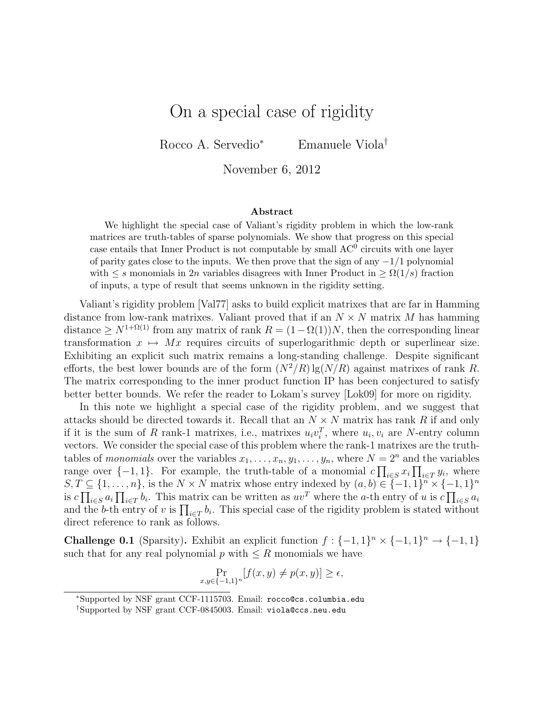## On a special case of rigidity

Rocco A. Servedio<sup>∗</sup> Emanuele Viola†

November 6, 2012

## Abstract

We highlight the special case of Valiant's rigidity problem in which the low-rank matrices are truth-tables of sparse polynomials. We show that progress on this special case entails that Inner Product is not computable by small  $AC^0$  circuits with one layer of parity gates close to the inputs. We then prove that the sign of any  $-1/1$  polynomial with  $\leq s$  monomials in 2n variables disagrees with Inner Product in  $\geq \Omega(1/s)$  fraction of inputs, a type of result that seems unknown in the rigidity setting.

Valiant's rigidity problem [Val77] asks to build explicit matrixes that are far in Hamming distance from low-rank matrixes. Valiant proved that if an  $N \times N$  matrix M has hamming distance >  $N^{1+\Omega(1)}$  from any matrix of rank  $R = (1-\Omega(1))N$ , then the corresponding linear transformation  $x \mapsto Mx$  requires circuits of superlogarithmic depth or superlinear size. Exhibiting an explicit such matrix remains a long-standing challenge. Despite significant efforts, the best lower bounds are of the form  $(N^2/R) \lg(N/R)$  against matrixes of rank R. The matrix corresponding to the inner product function IP has been conjectured to satisfy better better bounds. We refer the reader to Lokam's survey [Lok09] for more on rigidity.

In this note we highlight a special case of the rigidity problem, and we suggest that attacks should be directed towards it. Recall that an  $N \times N$  matrix has rank R if and only if it is the sum of R rank-1 matrixes, i.e., matrixes  $u_i v_i^T$ , where  $u_i, v_i$  are N-entry column vectors. We consider the special case of this problem where the rank-1 matrixes are the truthtables of monomials over the variables  $x_1, \ldots, x_n, y_1, \ldots, y_n$ , where  $N = 2^n$  and the variables range over  $\{-1,1\}$ . For example, the truth-table of a monomial  $c \prod_{i \in S} x_i \prod_{i \in T} y_i$ , where  $S, T \subseteq \{1, \ldots, n\}$ , is the  $N \times N$  matrix whose entry indexed by  $(a, b) \in \{-1, 1\}^n \times \{-1, 1\}^n$ is  $c \prod_{i \in S} a_i \prod_{i \in T} b_i$ . This matrix can be written as  $uv^T$  where the a-th entry of u is  $c \prod_{i \in S} a_i$ and the b-th entry of v is  $\prod_{i\in T} b_i$ . This special case of the rigidity problem is stated without direct reference to rank as follows.

**Challenge 0.1** (Sparsity). Exhibit an explicit function  $f: \{-1, 1\}^n \times \{-1, 1\}^n \rightarrow \{-1, 1\}$ such that for any real polynomial  $p$  with  $\leq R$  monomials we have

$$
\Pr_{x,y \in \{-1,1\}^n} [f(x,y) \neq p(x,y)] \ge \epsilon,
$$

<sup>∗</sup>Supported by NSF grant CCF-1115703. Email: rocco@cs.columbia.edu

<sup>†</sup>Supported by NSF grant CCF-0845003. Email: viola@ccs.neu.edu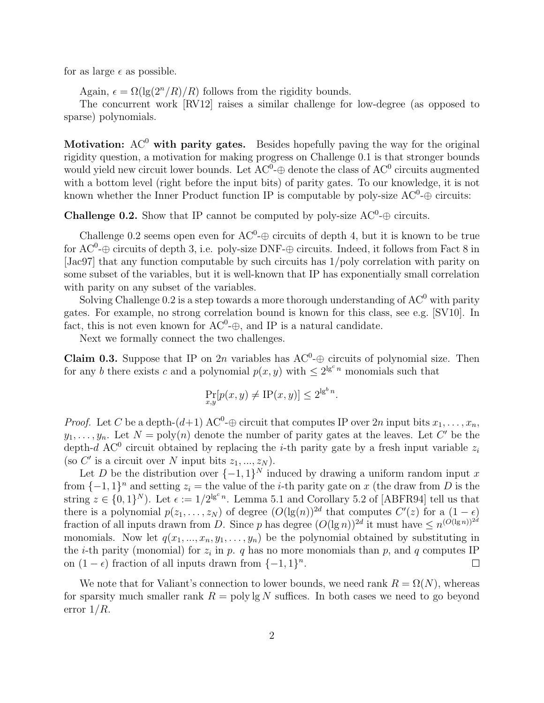for as large  $\epsilon$  as possible.

Again,  $\epsilon = \Omega(\lg(2^n/R)/R)$  follows from the rigidity bounds.

The concurrent work [RV12] raises a similar challenge for low-degree (as opposed to sparse) polynomials.

Motivation:  $AC^0$  with parity gates. Besides hopefully paving the way for the original rigidity question, a motivation for making progress on Challenge 0.1 is that stronger bounds would yield new circuit lower bounds. Let  $AC^0$ - $\oplus$  denote the class of  $AC^0$  circuits augmented with a bottom level (right before the input bits) of parity gates. To our knowledge, it is not known whether the Inner Product function IP is computable by poly-size  $AC^0$ - $\oplus$  circuits:

**Challenge 0.2.** Show that IP cannot be computed by poly-size  $AC^0$ - $\oplus$  circuits.

Challenge 0.2 seems open even for  $AC^0$ - $\oplus$  circuits of depth 4, but it is known to be true for  $AC^0$ - $\oplus$  circuits of depth 3, i.e. poly-size DNF- $\oplus$  circuits. Indeed, it follows from Fact 8 in [Jac97] that any function computable by such circuits has 1/poly correlation with parity on some subset of the variables, but it is well-known that IP has exponentially small correlation with parity on any subset of the variables.

Solving Challenge 0.2 is a step towards a more thorough understanding of  $AC^0$  with parity gates. For example, no strong correlation bound is known for this class, see e.g. [SV10]. In fact, this is not even known for  $AC^0$ - $\oplus$ , and IP is a natural candidate.

Next we formally connect the two challenges.

**Claim 0.3.** Suppose that IP on 2n variables has  $AC^0 \oplus$  circuits of polynomial size. Then for any b there exists c and a polynomial  $p(x, y)$  with  $\leq 2^{\lg^c n}$  monomials such that

$$
\Pr_{x,y}[p(x,y) \neq \text{IP}(x,y)] \leq 2^{\lg^b n}.
$$

*Proof.* Let C be a depth- $(d+1)$  AC<sup>0</sup>- $\oplus$  circuit that computes IP over 2n input bits  $x_1, \ldots, x_n$ ,  $y_1, \ldots, y_n$ . Let  $N = \text{poly}(n)$  denote the number of parity gates at the leaves. Let C' be the depth-d AC<sup>0</sup> circuit obtained by replacing the *i*-th parity gate by a fresh input variable  $z_i$ (so C' is a circuit over N input bits  $z_1, ..., z_N$ ).

Let D be the distribution over  $\{-1,1\}^N$  induced by drawing a uniform random input x from  $\{-1,1\}$ <sup>n</sup> and setting  $z_i =$  the value of the *i*-th parity gate on x (the draw from D is the string  $z \in \{0,1\}^N$ ). Let  $\epsilon := 1/2^{\lg^c n}$ . Lemma 5.1 and Corollary 5.2 of [ABFR94] tell us that there is a polynomial  $p(z_1, \ldots, z_N)$  of degree  $(O(\lg(n))^{2d})$  that computes  $C'(z)$  for a  $(1 - \epsilon)$ fraction of all inputs drawn from D. Since p has degree  $(O(\lg n))^{2d}$  it must have  $\leq n^{(O(\lg n))^{2d}}$ monomials. Now let  $q(x_1, ..., x_n, y_1, ..., y_n)$  be the polynomial obtained by substituting in the *i*-th parity (monomial) for  $z_i$  in p. q has no more monomials than p, and q computes IP on  $(1 - \epsilon)$  fraction of all inputs drawn from  $\{-1, 1\}^n$ .  $\Box$ 

We note that for Valiant's connection to lower bounds, we need rank  $R = \Omega(N)$ , whereas for sparsity much smaller rank  $R = \text{poly}\lg N$  suffices. In both cases we need to go beyond error  $1/R$ .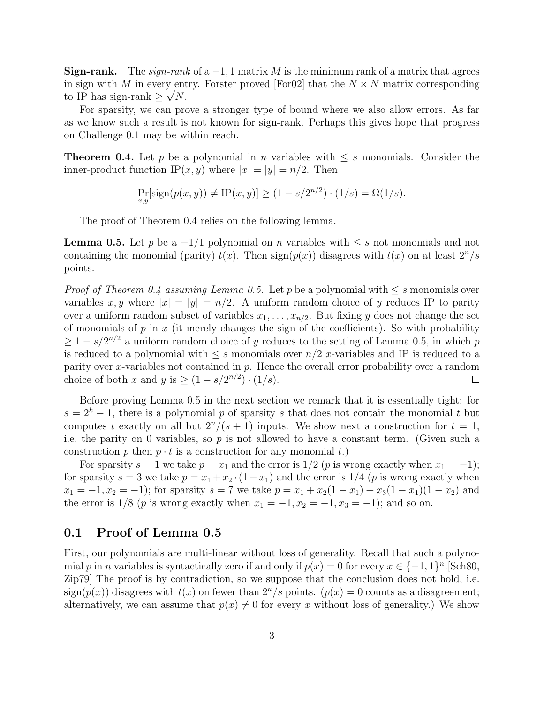**Sign-rank.** The sign-rank of a  $-1$ , 1 matrix M is the minimum rank of a matrix that agrees in sign with M in every entry. Forster proved [For02] that the  $N \times N$  matrix corresponding to IP has sign-rank  $\geq \sqrt{N}$ .

For sparsity, we can prove a stronger type of bound where we also allow errors. As far as we know such a result is not known for sign-rank. Perhaps this gives hope that progress on Challenge 0.1 may be within reach.

**Theorem 0.4.** Let p be a polynomial in n variables with  $\leq s$  monomials. Consider the inner-product function IP $(x, y)$  where  $|x| = |y| = n/2$ . Then

$$
\Pr_{x,y}[\text{sign}(p(x,y)) \neq \text{IP}(x,y)] \ge (1 - s/2^{n/2}) \cdot (1/s) = \Omega(1/s).
$$

The proof of Theorem 0.4 relies on the following lemma.

**Lemma 0.5.** Let p be a  $-1/1$  polynomial on n variables with  $\leq s$  not monomials and not containing the monomial (parity)  $t(x)$ . Then sign $(p(x))$  disagrees with  $t(x)$  on at least  $2^n/s$ points.

*Proof of Theorem 0.4 assuming Lemma 0.5.* Let p be a polynomial with  $\leq s$  monomials over variables x, y where  $|x| = |y| = n/2$ . A uniform random choice of y reduces IP to parity over a uniform random subset of variables  $x_1, \ldots, x_{n/2}$ . But fixing y does not change the set of monomials of  $p$  in  $x$  (it merely changes the sign of the coefficients). So with probability  $\geq 1 - s/2^{n/2}$  a uniform random choice of y reduces to the setting of Lemma 0.5, in which p is reduced to a polynomial with  $\leq s$  monomials over  $n/2$  x-variables and IP is reduced to a parity over x-variables not contained in  $p$ . Hence the overall error probability over a random choice of both x and y is  $\geq (1 - s/2^{n/2}) \cdot (1/s)$ .  $\Box$ 

Before proving Lemma 0.5 in the next section we remark that it is essentially tight: for  $s = 2<sup>k</sup> - 1$ , there is a polynomial p of sparsity s that does not contain the monomial t but computes t exactly on all but  $2^n/(s+1)$  inputs. We show next a construction for  $t = 1$ , i.e. the parity on 0 variables, so  $p$  is not allowed to have a constant term. (Given such a construction p then  $p \cdot t$  is a construction for any monomial t.

For sparsity  $s = 1$  we take  $p = x_1$  and the error is  $1/2$  (p is wrong exactly when  $x_1 = -1$ ); for sparsity  $s = 3$  we take  $p = x_1 + x_2 \cdot (1 - x_1)$  and the error is  $1/4$  (p is wrong exactly when  $x_1 = -1, x_2 = -1$ ; for sparsity  $s = 7$  we take  $p = x_1 + x_2(1 - x_1) + x_3(1 - x_1)(1 - x_2)$  and the error is  $1/8$  (p is wrong exactly when  $x_1 = -1, x_2 = -1, x_3 = -1$ ); and so on.

## 0.1 Proof of Lemma 0.5

First, our polynomials are multi-linear without loss of generality. Recall that such a polynomial p in n variables is syntactically zero if and only if  $p(x) = 0$  for every  $x \in \{-1, 1\}^n$ . [Sch80, Zip79] The proof is by contradiction, so we suppose that the conclusion does not hold, i.e.  $sign(p(x))$  disagrees with  $t(x)$  on fewer than  $2^n/s$  points.  $(p(x) = 0$  counts as a disagreement; alternatively, we can assume that  $p(x) \neq 0$  for every x without loss of generality.) We show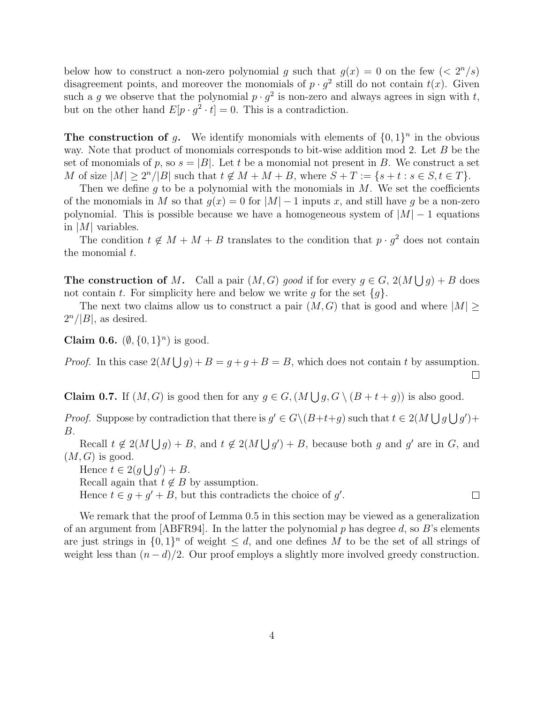below how to construct a non-zero polynomial g such that  $g(x) = 0$  on the few  $\left( \langle 2^n/s \rangle \right)$ disagreement points, and moreover the monomials of  $p \cdot g^2$  still do not contain  $t(x)$ . Given such a g we observe that the polynomial  $p \cdot g^2$  is non-zero and always agrees in sign with t, but on the other hand  $E[p \cdot g^2 \cdot t] = 0$ . This is a contradiction.

The construction of g. We identify monomials with elements of  $\{0,1\}^n$  in the obvious way. Note that product of monomials corresponds to bit-wise addition mod 2. Let B be the set of monomials of p, so  $s = |B|$ . Let t be a monomial not present in B. We construct a set M of size  $|M| \geq 2^n/|B|$  such that  $t \notin M + M + B$ , where  $S + T := \{s + t : s \in S, t \in T\}$ .

Then we define q to be a polynomial with the monomials in  $M$ . We set the coefficients of the monomials in M so that  $g(x) = 0$  for  $|M| - 1$  inputs x, and still have g be a non-zero polynomial. This is possible because we have a homogeneous system of  $|M| - 1$  equations in |M| variables.

The condition  $t \notin M + M + B$  translates to the condition that  $p \cdot g^2$  does not contain the monomial  $t$ .

**The construction of M.** Call a pair  $(M, G)$  good if for every  $g \in G$ ,  $2(M \bigcup g) + B$  does not contain t. For simplicity here and below we write q for the set  $\{q\}$ .

The next two claims allow us to construct a pair  $(M, G)$  that is good and where  $|M| \geq$  $2^n/|B|$ , as desired.

Claim 0.6.  $(\emptyset, \{0,1\}^n)$  is good.

*Proof.* In this case  $2(M \bigcup g) + B = g + g + B = B$ , which does not contain t by assumption.  $\Box$ 

**Claim 0.7.** If  $(M, G)$  is good then for any  $g \in G$ ,  $(M \bigcup g, G \setminus (B + t + g))$  is also good.

*Proof.* Suppose by contradiction that there is  $g' \in G \setminus (B+t+g)$  such that  $t \in 2(M \bigcup g \bigcup g')$ + B.

Recall  $t \notin 2(M \bigcup g) + B$ , and  $t \notin 2(M \bigcup g') + B$ , because both g and g' are in G, and  $(M, G)$  is good.

Hence  $t \in 2(g \bigcup g') + B$ .

Recall again that  $t \notin B$  by assumption.

Hence  $t \in g + g' + B$ , but this contradicts the choice of g'.

We remark that the proof of Lemma 0.5 in this section may be viewed as a generalization of an argument from [ABFR94]. In the latter the polynomial p has degree d, so B's elements are just strings in  $\{0,1\}^n$  of weight  $\leq d$ , and one defines M to be the set of all strings of weight less than  $(n - d)/2$ . Our proof employs a slightly more involved greedy construction.

 $\Box$